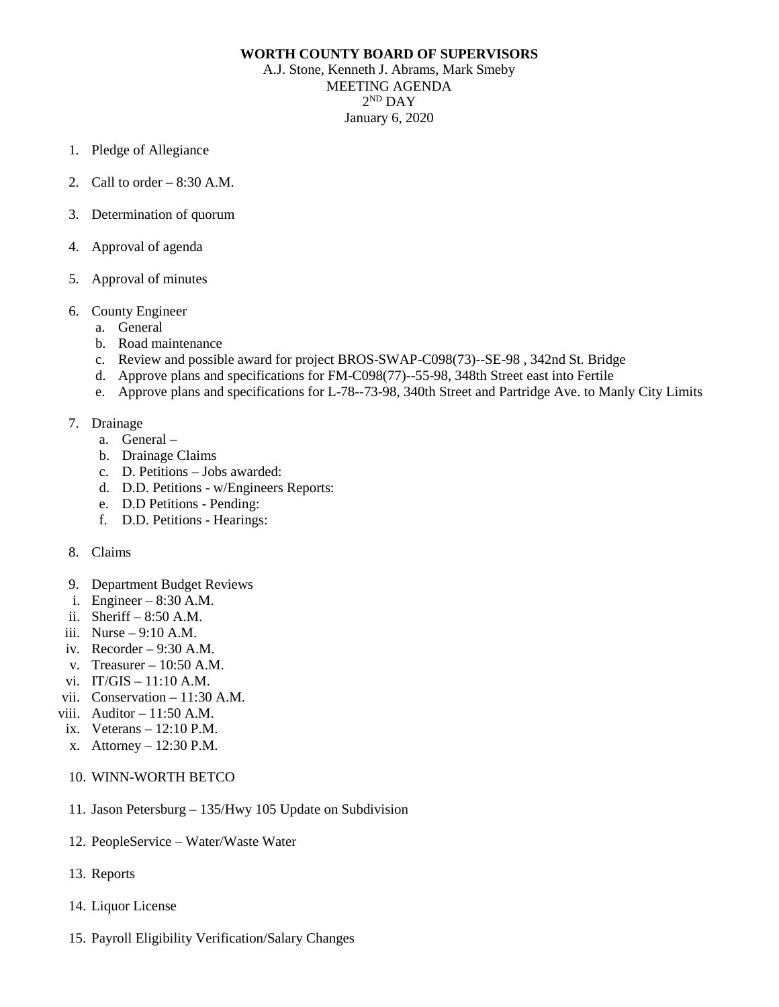## **WORTH COUNTY BOARD OF SUPERVISORS**

A.J. Stone, Kenneth J. Abrams, Mark Smeby MEETING AGENDA  $2^{ND}$  DAY January 6, 2020

- 1. Pledge of Allegiance
- 2. Call to order 8:30 A.M.
- 3. Determination of quorum
- 4. Approval of agenda
- 5. Approval of minutes
- 6. County Engineer
	- a. General
	- b. Road maintenance
	- c. Review and possible award for project BROS-SWAP-C098(73)--SE-98 , 342nd St. Bridge
	- d. Approve plans and specifications for FM-C098(77)--55-98, 348th Street east into Fertile
	- e. Approve plans and specifications for L-78--73-98, 340th Street and Partridge Ave. to Manly City Limits
- 7. Drainage
	- a. General –
	- b. Drainage Claims
	- c. D. Petitions Jobs awarded:
	- d. D.D. Petitions w/Engineers Reports:
	- e. D.D Petitions Pending:
	- f. D.D. Petitions Hearings:
- 8. Claims
- 9. Department Budget Reviews
- i. Engineer 8:30 A.M.
- ii. Sheriff 8:50 A.M.
- iii.  $Nurse 9:10 A.M.$
- iv. Recorder  $-9:30$  A.M.
- v. Treasurer 10:50 A.M.
- vi. IT/GIS 11:10 A.M.
- vii. Conservation 11:30 A.M.
- viii. Auditor  $-11:50$  A.M.
- ix. Veterans 12:10 P.M.
- x. Attorney 12:30 P.M.
- 10. WINN-WORTH BETCO
- 11. Jason Petersburg 135/Hwy 105 Update on Subdivision
- 12. PeopleService Water/Waste Water
- 13. Reports
- 14. Liquor License
- 15. Payroll Eligibility Verification/Salary Changes